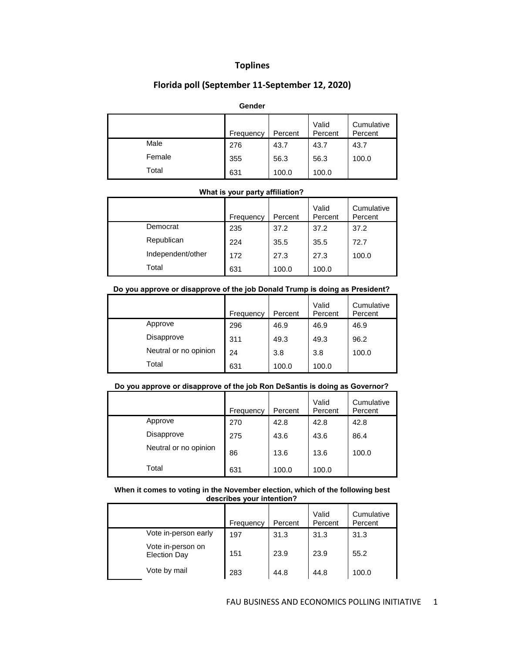# **Toplines**

## **Florida poll (September 11-September 12, 2020)**

## **Gender**

|        | Frequency | Percent | Valid<br>Percent | Cumulative<br>Percent |
|--------|-----------|---------|------------------|-----------------------|
| Male   | 276       | 43.7    | 43.7             | 43.7                  |
| Female | 355       | 56.3    | 56.3             | 100.0                 |
| Total  | 631       | 100.0   | 100.0            |                       |

## **What is your party affiliation?**

|                   | Frequency | Percent | Valid<br>Percent | Cumulative<br>Percent |
|-------------------|-----------|---------|------------------|-----------------------|
| Democrat          | 235       | 37.2    | 37.2             | 37.2                  |
| Republican        | 224       | 35.5    | 35.5             | 72.7                  |
| Independent/other | 172       | 27.3    | 27.3             | 100.0                 |
| Total             | 631       | 100.0   | 100.0            |                       |

## **Do you approve or disapprove of the job Donald Trump is doing as President?**

|                       | Frequency | Percent | Valid<br>Percent | Cumulative<br>Percent |
|-----------------------|-----------|---------|------------------|-----------------------|
| Approve               | 296       | 46.9    | 46.9             | 46.9                  |
| Disapprove            | 311       | 49.3    | 49.3             | 96.2                  |
| Neutral or no opinion | 24        | 3.8     | 3.8              | 100.0                 |
| Total                 | 631       | 100.0   | 100.0            |                       |

## **Do you approve or disapprove of the job Ron DeSantis is doing as Governor?**

|                       | Frequency | Percent | Valid<br>Percent | Cumulative<br>Percent |
|-----------------------|-----------|---------|------------------|-----------------------|
| Approve               | 270       | 42.8    | 42.8             | 42.8                  |
| Disapprove            | 275       | 43.6    | 43.6             | 86.4                  |
| Neutral or no opinion | 86        | 13.6    | 13.6             | 100.0                 |
| Total                 | 631       | 100.0   | 100.0            |                       |

#### **When it comes to voting in the November election, which of the following best describes your intention?**

|                                          | Frequency | Percent | Valid<br>Percent | Cumulative<br>Percent |
|------------------------------------------|-----------|---------|------------------|-----------------------|
| Vote in-person early                     | 197       | 31.3    | 31.3             | 31.3                  |
| Vote in-person on<br><b>Election Day</b> | 151       | 23.9    | 23.9             | 55.2                  |
| Vote by mail                             | 283       | 44.8    | 44.8             | 100.0                 |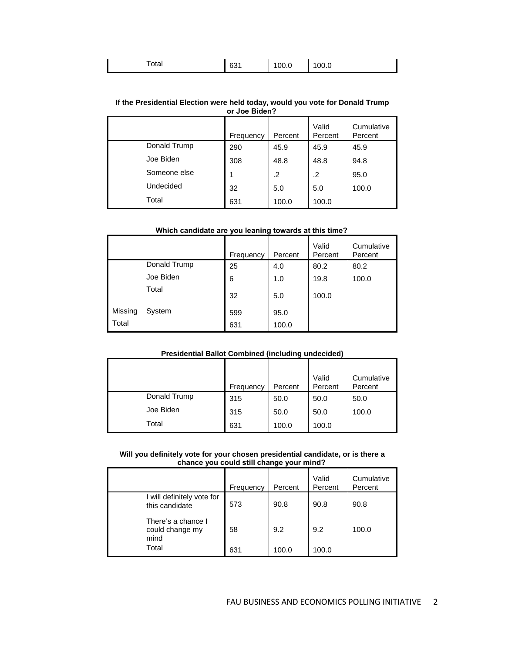| otal | 621<br>ັບບໍ | 100.0 | 100.0 |  |  |
|------|-------------|-------|-------|--|--|
|------|-------------|-------|-------|--|--|

#### **If the Presidential Election were held today, would you vote for Donald Trump or Joe Biden?**

|              | Frequency | Percent | Valid<br>Percent | Cumulative<br>Percent |
|--------------|-----------|---------|------------------|-----------------------|
| Donald Trump | 290       | 45.9    | 45.9             | 45.9                  |
| Joe Biden    | 308       | 48.8    | 48.8             | 94.8                  |
| Someone else |           | .2      | .2               | 95.0                  |
| Undecided    | 32        | 5.0     | 5.0              | 100.0                 |
| Total        | 631       | 100.0   | 100.0            |                       |

## **Which candidate are you leaning towards at this time?**

|         |              | Frequency | Percent | Valid<br>Percent | Cumulative<br>Percent |
|---------|--------------|-----------|---------|------------------|-----------------------|
|         | Donald Trump | 25        | 4.0     | 80.2             | 80.2                  |
|         | Joe Biden    | 6         | 1.0     | 19.8             | 100.0                 |
|         | Total        | 32        | 5.0     | 100.0            |                       |
| Missing | System       | 599       | 95.0    |                  |                       |
| Total   |              | 631       | 100.0   |                  |                       |

## **Presidential Ballot Combined (including undecided)**

|              | Frequency | Percent | Valid<br>Percent | Cumulative<br>Percent |
|--------------|-----------|---------|------------------|-----------------------|
| Donald Trump | 315       | 50.0    | 50.0             | 50.0                  |
| Joe Biden    | 315       | 50.0    | 50.0             | 100.0                 |
| Total        | 631       | 100.0   | 100.0            |                       |

#### **Will you definitely vote for your chosen presidential candidate, or is there a chance you could still change your mind?**

|                                               | Frequency | Percent | Valid<br>Percent | Cumulative<br>Percent |
|-----------------------------------------------|-----------|---------|------------------|-----------------------|
| I will definitely vote for<br>this candidate  | 573       | 90.8    | 90.8             | 90.8                  |
| There's a chance I<br>could change my<br>mind | 58        | 9.2     | 9.2              | 100.0                 |
| Total                                         | 631       | 100.0   | 100.0            |                       |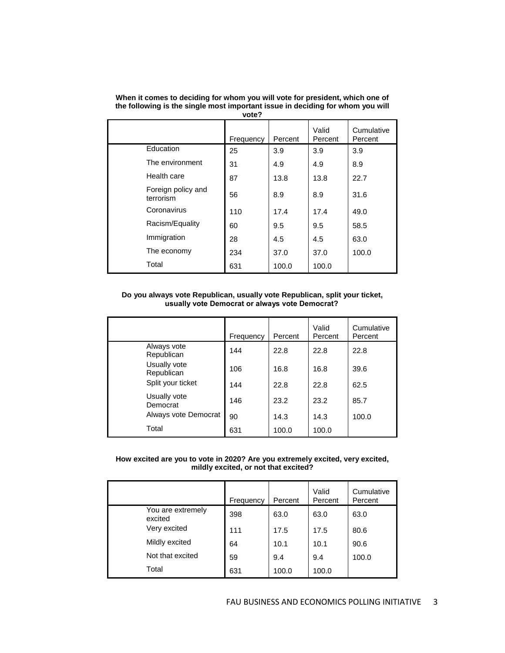|                                 | Frequency | Percent | Valid<br>Percent | Cumulative<br>Percent |
|---------------------------------|-----------|---------|------------------|-----------------------|
| Education                       | 25        | 3.9     | 3.9              | 3.9                   |
| The environment                 | 31        | 4.9     | 4.9              | 8.9                   |
| Health care                     | 87        | 13.8    | 13.8             | 22.7                  |
| Foreign policy and<br>terrorism | 56        | 8.9     | 8.9              | 31.6                  |
| Coronavirus                     | 110       | 17.4    | 17.4             | 49.0                  |
| Racism/Equality                 | 60        | 9.5     | 9.5              | 58.5                  |
| Immigration                     | 28        | 4.5     | 4.5              | 63.0                  |
| The economy                     | 234       | 37.0    | 37.0             | 100.0                 |
| Total                           | 631       | 100.0   | 100.0            |                       |

**When it comes to deciding for whom you will vote for president, which one of the following is the single most important issue in deciding for whom you will vote?**

## **Do you always vote Republican, usually vote Republican, split your ticket, usually vote Democrat or always vote Democrat?**

|                            | Frequency | Percent | Valid<br>Percent | Cumulative<br>Percent |
|----------------------------|-----------|---------|------------------|-----------------------|
| Always vote<br>Republican  | 144       | 22.8    | 22.8             | 22.8                  |
| Usually vote<br>Republican | 106       | 16.8    | 16.8             | 39.6                  |
| Split your ticket          | 144       | 22.8    | 22.8             | 62.5                  |
| Usually vote<br>Democrat   | 146       | 23.2    | 23.2             | 85.7                  |
| Always vote Democrat       | 90        | 14.3    | 14.3             | 100.0                 |
| Total                      | 631       | 100.0   | 100.0            |                       |

**How excited are you to vote in 2020? Are you extremely excited, very excited, mildly excited, or not that excited?**

|                              | Frequency | Percent | Valid<br>Percent | Cumulative<br>Percent |
|------------------------------|-----------|---------|------------------|-----------------------|
| You are extremely<br>excited | 398       | 63.0    | 63.0             | 63.0                  |
| Very excited                 | 111       | 17.5    | 17.5             | 80.6                  |
| Mildly excited               | 64        | 10.1    | 10.1             | 90.6                  |
| Not that excited             | 59        | 9.4     | 9.4              | 100.0                 |
| Total                        | 631       | 100.0   | 100.0            |                       |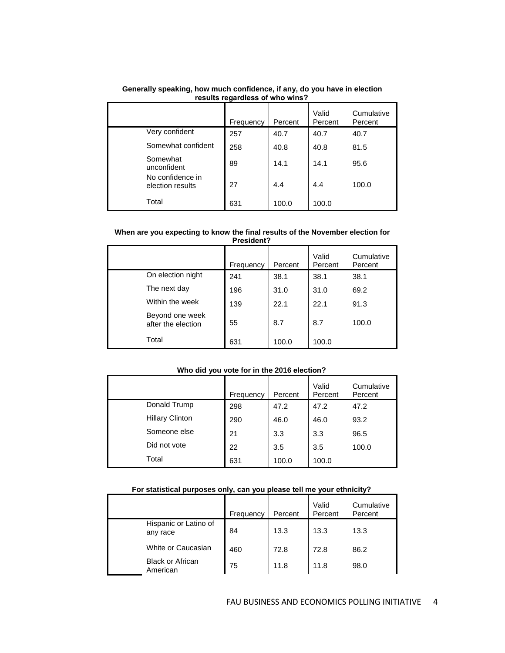| <b>I</b> coults regardless or write wills i |           |         |                  |                       |  |
|---------------------------------------------|-----------|---------|------------------|-----------------------|--|
|                                             | Frequency | Percent | Valid<br>Percent | Cumulative<br>Percent |  |
| Very confident                              | 257       | 40.7    | 40.7             | 40.7                  |  |
| Somewhat confident                          | 258       | 40.8    | 40.8             | 81.5                  |  |
| Somewhat<br>unconfident                     | 89        | 14.1    | 14.1             | 95.6                  |  |
| No confidence in<br>election results        | 27        | 4.4     | 4.4              | 100.0                 |  |
| Total                                       | 631       | 100.0   | 100.0            |                       |  |

## **Generally speaking, how much confidence, if any, do you have in election results regardless of who wins?**

#### **When are you expecting to know the final results of the November election for President?**

|                                       | Frequency | Percent | Valid<br>Percent | Cumulative<br>Percent |
|---------------------------------------|-----------|---------|------------------|-----------------------|
| On election night                     | 241       | 38.1    | 38.1             | 38.1                  |
| The next day                          | 196       | 31.0    | 31.0             | 69.2                  |
| Within the week                       | 139       | 22.1    | 22.1             | 91.3                  |
| Beyond one week<br>after the election | 55        | 8.7     | 8.7              | 100.0                 |
| Total                                 | 631       | 100.0   | 100.0            |                       |

## **Who did you vote for in the 2016 election?**

|                        | Frequency | Percent | Valid<br>Percent | Cumulative<br>Percent |
|------------------------|-----------|---------|------------------|-----------------------|
| Donald Trump           | 298       | 47.2    | 47.2             | 47.2                  |
| <b>Hillary Clinton</b> | 290       | 46.0    | 46.0             | 93.2                  |
| Someone else           | 21        | 3.3     | 3.3              | 96.5                  |
| Did not vote           | 22        | 3.5     | 3.5              | 100.0                 |
| Total                  | 631       | 100.0   | 100.0            |                       |

## **For statistical purposes only, can you please tell me your ethnicity?**

|                                     | Frequency | Percent | Valid<br>Percent | Cumulative<br>Percent |
|-------------------------------------|-----------|---------|------------------|-----------------------|
| Hispanic or Latino of<br>any race   | 84        | 13.3    | 13.3             | 13.3                  |
| White or Caucasian                  | 460       | 72.8    | 72.8             | 86.2                  |
| <b>Black or African</b><br>American | 75        | 11.8    | 11.8             | 98.0                  |